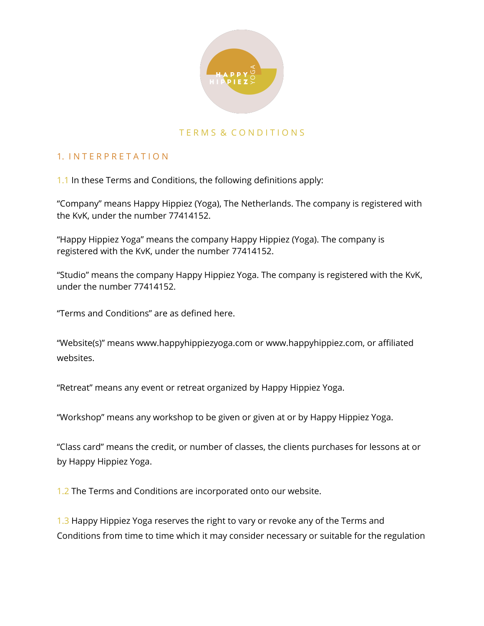

### TERMS & CONDITIONS

### 1. I N T E R P R E T A T I O N

1.1 In these Terms and Conditions, the following definitions apply:

"Company" means Happy Hippiez (Yoga), The Netherlands. The company is registered with the KvK, under the number 77414152.

"Happy Hippiez Yoga" means the company Happy Hippiez (Yoga). The company is registered with the KvK, under the number 77414152.

"Studio" means the company Happy Hippiez Yoga. The company is registered with the KvK, under the number 77414152.

"Terms and Conditions" are as defined here.

"Website(s)" means www.happyhippiezyoga.com or www.happyhippiez.com, or affiliated websites.

"Retreat" means any event or retreat organized by Happy Hippiez Yoga.

"Workshop" means any workshop to be given or given at or by Happy Hippiez Yoga.

"Class card" means the credit, or number of classes, the clients purchases for lessons at or by Happy Hippiez Yoga.

1.2 The Terms and Conditions are incorporated onto our website.

1.3 Happy Hippiez Yoga reserves the right to vary or revoke any of the Terms and Conditions from time to time which it may consider necessary or suitable for the regulation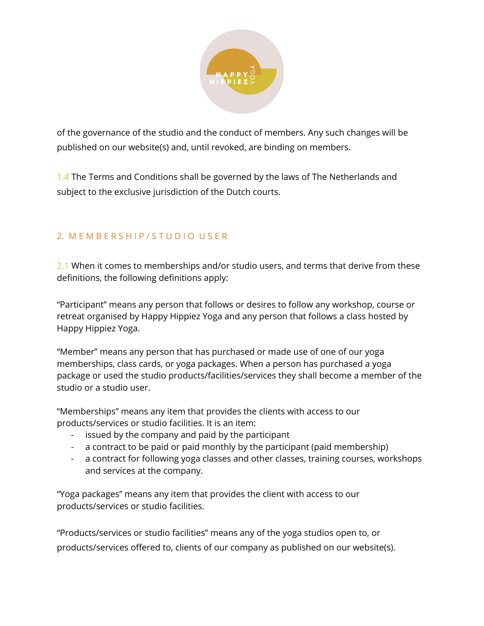

of the governance of the studio and the conduct of members. Any such changes will be published on our website(s) and, until revoked, are binding on members.

1.4 The Terms and Conditions shall be governed by the laws of The Netherlands and subject to the exclusive jurisdiction of the Dutch courts.

## 2. MEMBERSHIP/STUDIO USER

2.1 When it comes to memberships and/or studio users, and terms that derive from these definitions, the following definitions apply:

"Participant" means any person that follows or desires to follow any workshop, course or retreat organised by Happy Hippiez Yoga and any person that follows a class hosted by Happy Hippiez Yoga.

"Member" means any person that has purchased or made use of one of our yoga memberships, class cards, or yoga packages. When a person has purchased a yoga package or used the studio products/facilities/services they shall become a member of the studio or a studio user.

"Memberships" means any item that provides the clients with access to our products/services or studio facilities. It is an item:

- issued by the company and paid by the participant
- a contract to be paid or paid monthly by the participant (paid membership)
- a contract for following yoga classes and other classes, training courses, workshops and services at the company.

"Yoga packages" means any item that provides the client with access to our products/services or studio facilities.

"Products/services or studio facilities" means any of the yoga studios open to, or products/services offered to, clients of our company as published on our website(s).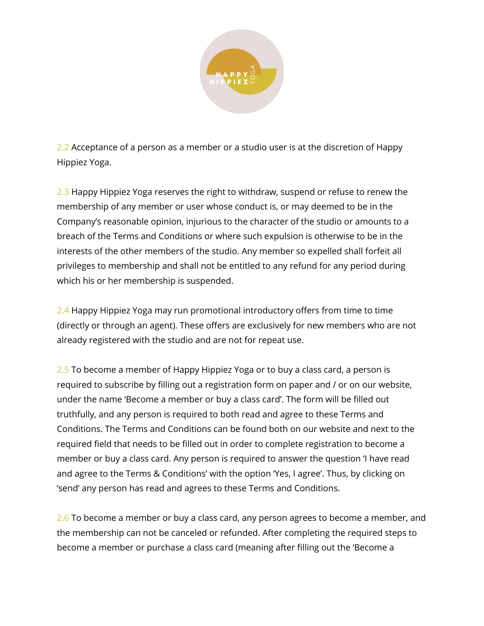

2.2 Acceptance of a person as a member or a studio user is at the discretion of Happy Hippiez Yoga.

2.3 Happy Hippiez Yoga reserves the right to withdraw, suspend or refuse to renew the membership of any member or user whose conduct is, or may deemed to be in the Company's reasonable opinion, injurious to the character of the studio or amounts to a breach of the Terms and Conditions or where such expulsion is otherwise to be in the interests of the other members of the studio. Any member so expelled shall forfeit all privileges to membership and shall not be entitled to any refund for any period during which his or her membership is suspended.

2.4 Happy Hippiez Yoga may run promotional introductory offers from time to time (directly or through an agent). These offers are exclusively for new members who are not already registered with the studio and are not for repeat use.

2.5 To become a member of Happy Hippiez Yoga or to buy a class card, a person is required to subscribe by filling out a registration form on paper and / or on our website, under the name 'Become a member or buy a class card'. The form will be filled out truthfully, and any person is required to both read and agree to these Terms and Conditions. The Terms and Conditions can be found both on our website and next to the required field that needs to be filled out in order to complete registration to become a member or buy a class card. Any person is required to answer the question 'I have read and agree to the Terms & Conditions' with the option 'Yes, I agree'. Thus, by clicking on 'send' any person has read and agrees to these Terms and Conditions.

2.6 To become a member or buy a class card, any person agrees to become a member, and the membership can not be canceled or refunded. After completing the required steps to become a member or purchase a class card (meaning after filling out the 'Become a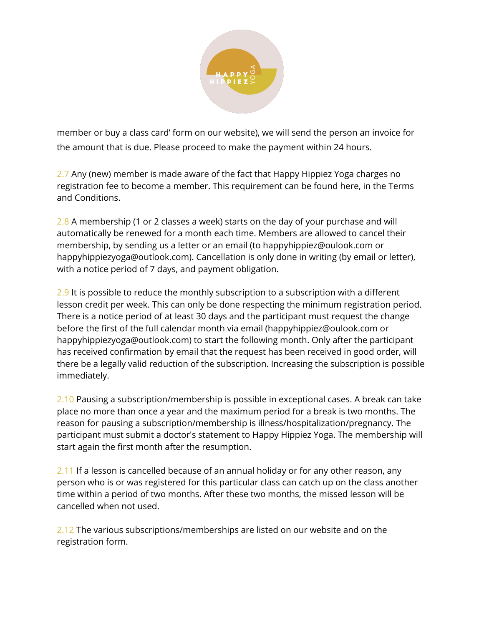

member or buy a class card' form on our website), we will send the person an invoice for the amount that is due. Please proceed to make the payment within 24 hours.

2.7 Any (new) member is made aware of the fact that Happy Hippiez Yoga charges no registration fee to become a member. This requirement can be found here, in the Terms and Conditions.

2.8 A membership (1 or 2 classes a week) starts on the day of your purchase and will automatically be renewed for a month each time. Members are allowed to cancel their membership, by sending us a letter or an email (to happyhippiez@oulook.com or happyhippiezyoga@outlook.com). Cancellation is only done in writing (by email or letter), with a notice period of 7 days, and payment obligation.

2.9 It is possible to reduce the monthly subscription to a subscription with a different lesson credit per week. This can only be done respecting the minimum registration period. There is a notice period of at least 30 days and the participant must request the change before the first of the full calendar month via email (happyhippiez@oulook.com or happyhippiezyoga@outlook.com) to start the following month. Only after the participant has received confirmation by email that the request has been received in good order, will there be a legally valid reduction of the subscription. Increasing the subscription is possible immediately.

2.10 Pausing a subscription/membership is possible in exceptional cases. A break can take place no more than once a year and the maximum period for a break is two months. The reason for pausing a subscription/membership is illness/hospitalization/pregnancy. The participant must submit a doctor's statement to Happy Hippiez Yoga. The membership will start again the first month after the resumption.

2.11 If a lesson is cancelled because of an annual holiday or for any other reason, any person who is or was registered for this particular class can catch up on the class another time within a period of two months. After these two months, the missed lesson will be cancelled when not used.

2.12 The various subscriptions/memberships are listed on our website and on the registration form.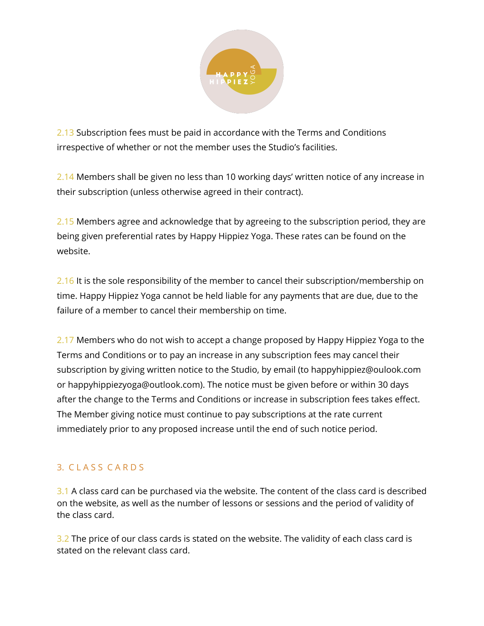

2.13 Subscription fees must be paid in accordance with the Terms and Conditions irrespective of whether or not the member uses the Studio's facilities.

2.14 Members shall be given no less than 10 working days' written notice of any increase in their subscription (unless otherwise agreed in their contract).

2.15 Members agree and acknowledge that by agreeing to the subscription period, they are being given preferential rates by Happy Hippiez Yoga. These rates can be found on the website.

2.16 It is the sole responsibility of the member to cancel their subscription/membership on time. Happy Hippiez Yoga cannot be held liable for any payments that are due, due to the failure of a member to cancel their membership on time.

2.17 Members who do not wish to accept a change proposed by Happy Hippiez Yoga to the Terms and Conditions or to pay an increase in any subscription fees may cancel their subscription by giving written notice to the Studio, by email (to happyhippiez@oulook.com or happyhippiezyoga@outlook.com). The notice must be given before or within 30 days after the change to the Terms and Conditions or increase in subscription fees takes effect. The Member giving notice must continue to pay subscriptions at the rate current immediately prior to any proposed increase until the end of such notice period.

# 3. C L A S S C A R D S

3.1 A class card can be purchased via the website. The content of the class card is described on the website, as well as the number of lessons or sessions and the period of validity of the class card.

3.2 The price of our class cards is stated on the website. The validity of each class card is stated on the relevant class card.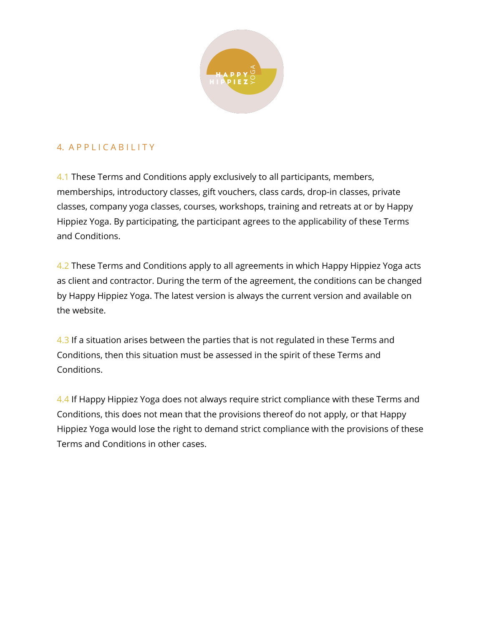

### 4. A P P L I C A B I L I T Y

4.1 These Terms and Conditions apply exclusively to all participants, members, memberships, introductory classes, gift vouchers, class cards, drop-in classes, private classes, company yoga classes, courses, workshops, training and retreats at or by Happy Hippiez Yoga. By participating, the participant agrees to the applicability of these Terms and Conditions.

4.2 These Terms and Conditions apply to all agreements in which Happy Hippiez Yoga acts as client and contractor. During the term of the agreement, the conditions can be changed by Happy Hippiez Yoga. The latest version is always the current version and available on the website.

4.3 If a situation arises between the parties that is not regulated in these Terms and Conditions, then this situation must be assessed in the spirit of these Terms and Conditions.

4.4 If Happy Hippiez Yoga does not always require strict compliance with these Terms and Conditions, this does not mean that the provisions thereof do not apply, or that Happy Hippiez Yoga would lose the right to demand strict compliance with the provisions of these Terms and Conditions in other cases.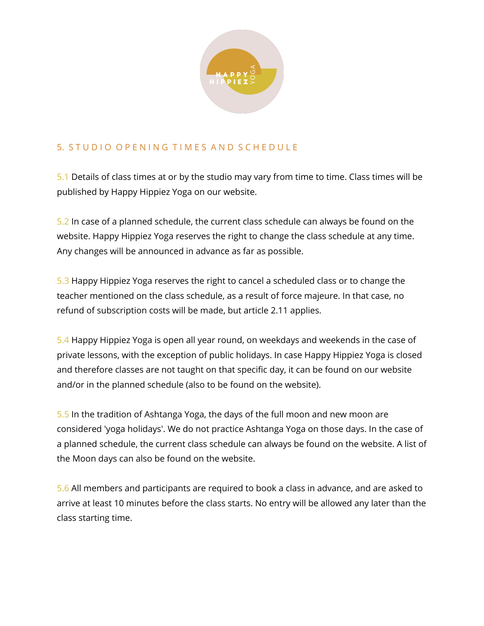

# 5. STUDIO OPENING TIMES AND SCHEDULE

5.1 Details of class times at or by the studio may vary from time to time. Class times will be published by Happy Hippiez Yoga on our website.

5.2 In case of a planned schedule, the current class schedule can always be found on the website. Happy Hippiez Yoga reserves the right to change the class schedule at any time. Any changes will be announced in advance as far as possible.

5.3 Happy Hippiez Yoga reserves the right to cancel a scheduled class or to change the teacher mentioned on the class schedule, as a result of force majeure. In that case, no refund of subscription costs will be made, but article 2.11 applies.

5.4 Happy Hippiez Yoga is open all year round, on weekdays and weekends in the case of private lessons, with the exception of public holidays. In case Happy Hippiez Yoga is closed and therefore classes are not taught on that specific day, it can be found on our website and/or in the planned schedule (also to be found on the website).

5.5 In the tradition of Ashtanga Yoga, the days of the full moon and new moon are considered 'yoga holidays'. We do not practice Ashtanga Yoga on those days. In the case of a planned schedule, the current class schedule can always be found on the website. A list of the Moon days can also be found on the website.

5.6 All members and participants are required to book a class in advance, and are asked to arrive at least 10 minutes before the class starts. No entry will be allowed any later than the class starting time.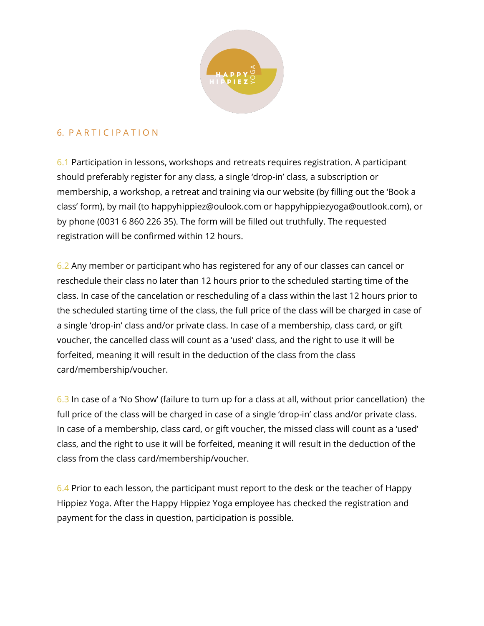

### 6. P A R T I C I P A T I O N

6.1 Participation in lessons, workshops and retreats requires registration. A participant should preferably register for any class, a single 'drop-in' class, a subscription or membership, a workshop, a retreat and training via our website (by filling out the 'Book a class' form), by mail (to happyhippiez@oulook.com or happyhippiezyoga@outlook.com), or by phone (0031 6 860 226 35). The form will be filled out truthfully. The requested registration will be confirmed within 12 hours.

6.2 Any member or participant who has registered for any of our classes can cancel or reschedule their class no later than 12 hours prior to the scheduled starting time of the class. In case of the cancelation or rescheduling of a class within the last 12 hours prior to the scheduled starting time of the class, the full price of the class will be charged in case of a single 'drop-in' class and/or private class. In case of a membership, class card, or gift voucher, the cancelled class will count as a 'used' class, and the right to use it will be forfeited, meaning it will result in the deduction of the class from the class card/membership/voucher.

6.3 In case of a 'No Show' (failure to turn up for a class at all, without prior cancellation) the full price of the class will be charged in case of a single 'drop-in' class and/or private class. In case of a membership, class card, or gift voucher, the missed class will count as a 'used' class, and the right to use it will be forfeited, meaning it will result in the deduction of the class from the class card/membership/voucher.

6.4 Prior to each lesson, the participant must report to the desk or the teacher of Happy Hippiez Yoga. After the Happy Hippiez Yoga employee has checked the registration and payment for the class in question, participation is possible.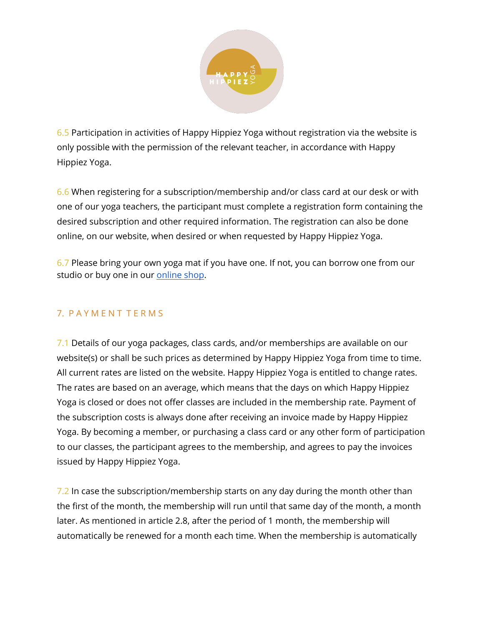

6.5 Participation in activities of Happy Hippiez Yoga without registration via the website is only possible with the permission of the relevant teacher, in accordance with Happy Hippiez Yoga.

6.6 When registering for a subscription/membership and/or class card at our desk or with one of our yoga teachers, the participant must complete a registration form containing the desired subscription and other required information. The registration can also be done online, on our website, when desired or when requested by Happy Hippiez Yoga.

6.7 Please bring your own yoga mat if you have one. If not, you can borrow one from our studio or buy one in our [online](https://www.happyhippiezyoga.com/shop) shop.

### 7. P A Y M E N T T E R M S

7.1 Details of our yoga packages, class cards, and/or memberships are available on our website(s) or shall be such prices as determined by Happy Hippiez Yoga from time to time. All current rates are listed on the website. Happy Hippiez Yoga is entitled to change rates. The rates are based on an average, which means that the days on which Happy Hippiez Yoga is closed or does not offer classes are included in the membership rate. Payment of the subscription costs is always done after receiving an invoice made by Happy Hippiez Yoga. By becoming a member, or purchasing a class card or any other form of participation to our classes, the participant agrees to the membership, and agrees to pay the invoices issued by Happy Hippiez Yoga.

7.2 In case the subscription/membership starts on any day during the month other than the first of the month, the membership will run until that same day of the month, a month later. As mentioned in article 2.8, after the period of 1 month, the membership will automatically be renewed for a month each time. When the membership is automatically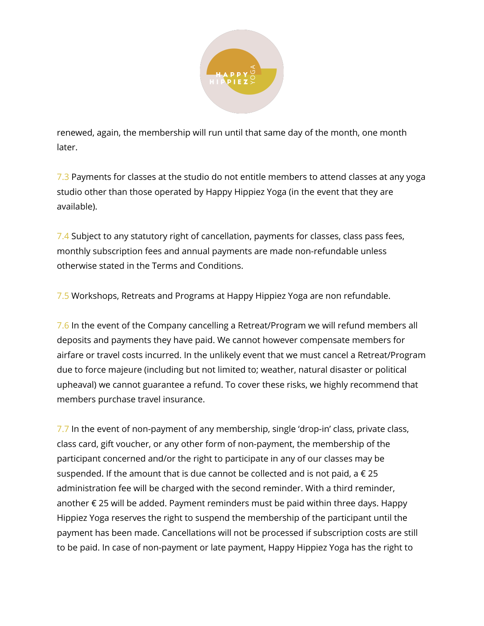

renewed, again, the membership will run until that same day of the month, one month later.

7.3 Payments for classes at the studio do not entitle members to attend classes at any yoga studio other than those operated by Happy Hippiez Yoga (in the event that they are available).

7.4 Subject to any statutory right of cancellation, payments for classes, class pass fees, monthly subscription fees and annual payments are made non-refundable unless otherwise stated in the Terms and Conditions.

7.5 Workshops, Retreats and Programs at Happy Hippiez Yoga are non refundable.

7.6 In the event of the Company cancelling a Retreat/Program we will refund members all deposits and payments they have paid. We cannot however compensate members for airfare or travel costs incurred. In the unlikely event that we must cancel a Retreat/Program due to force majeure (including but not limited to; weather, natural disaster or political upheaval) we cannot guarantee a refund. To cover these risks, we highly recommend that members purchase travel insurance.

7.7 In the event of non-payment of any membership, single 'drop-in' class, private class, class card, gift voucher, or any other form of non-payment, the membership of the participant concerned and/or the right to participate in any of our classes may be suspended. If the amount that is due cannot be collected and is not paid,  $a \in 25$ administration fee will be charged with the second reminder. With a third reminder, another € 25 will be added. Payment reminders must be paid within three days. Happy Hippiez Yoga reserves the right to suspend the membership of the participant until the payment has been made. Cancellations will not be processed if subscription costs are still to be paid. In case of non-payment or late payment, Happy Hippiez Yoga has the right to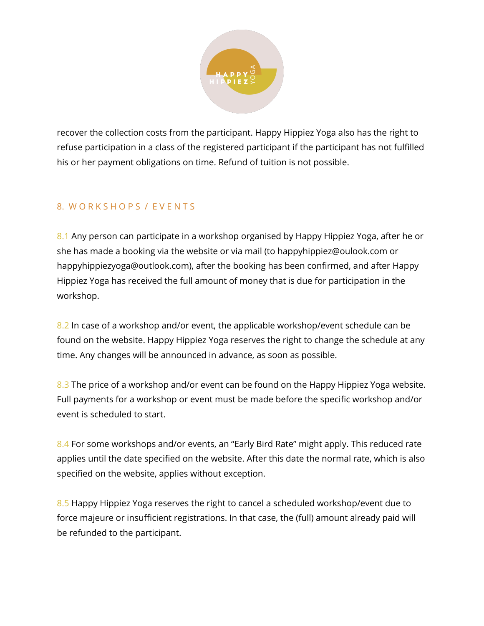

recover the collection costs from the participant. Happy Hippiez Yoga also has the right to refuse participation in a class of the registered participant if the participant has not fulfilled his or her payment obligations on time. Refund of tuition is not possible.

### 8. W O R K S H O P S / E V E N T S

8.1 Any person can participate in a workshop organised by Happy Hippiez Yoga, after he or she has made a booking via the website or via mail (to happyhippiez@oulook.com or happyhippiezyoga@outlook.com), after the booking has been confirmed, and after Happy Hippiez Yoga has received the full amount of money that is due for participation in the workshop.

8.2 In case of a workshop and/or event, the applicable workshop/event schedule can be found on the website. Happy Hippiez Yoga reserves the right to change the schedule at any time. Any changes will be announced in advance, as soon as possible.

8.3 The price of a workshop and/or event can be found on the Happy Hippiez Yoga website. Full payments for a workshop or event must be made before the specific workshop and/or event is scheduled to start.

8.4 For some workshops and/or events, an "Early Bird Rate" might apply. This reduced rate applies until the date specified on the website. After this date the normal rate, which is also specified on the website, applies without exception.

8.5 Happy Hippiez Yoga reserves the right to cancel a scheduled workshop/event due to force majeure or insufficient registrations. In that case, the (full) amount already paid will be refunded to the participant.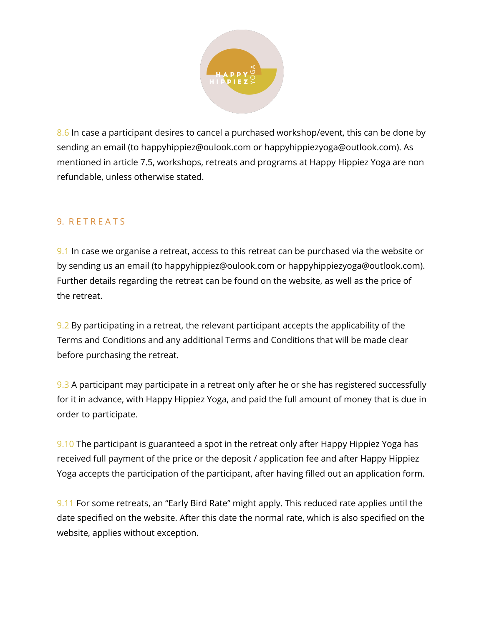

8.6 In case a participant desires to cancel a purchased workshop/event, this can be done by sending an email (to happyhippiez@oulook.com or happyhippiezyoga@outlook.com). As mentioned in article 7.5, workshops, retreats and programs at Happy Hippiez Yoga are non refundable, unless otherwise stated.

### 9. R E T R E A T S

9.1 In case we organise a retreat, access to this retreat can be purchased via the website or by sending us an email (to happyhippiez@oulook.com or happyhippiezyoga@outlook.com). Further details regarding the retreat can be found on the website, as well as the price of the retreat.

9.2 By participating in a retreat, the relevant participant accepts the applicability of the Terms and Conditions and any additional Terms and Conditions that will be made clear before purchasing the retreat.

9.3 A participant may participate in a retreat only after he or she has registered successfully for it in advance, with Happy Hippiez Yoga, and paid the full amount of money that is due in order to participate.

9.10 The participant is guaranteed a spot in the retreat only after Happy Hippiez Yoga has received full payment of the price or the deposit / application fee and after Happy Hippiez Yoga accepts the participation of the participant, after having filled out an application form.

9.11 For some retreats, an "Early Bird Rate" might apply. This reduced rate applies until the date specified on the website. After this date the normal rate, which is also specified on the website, applies without exception.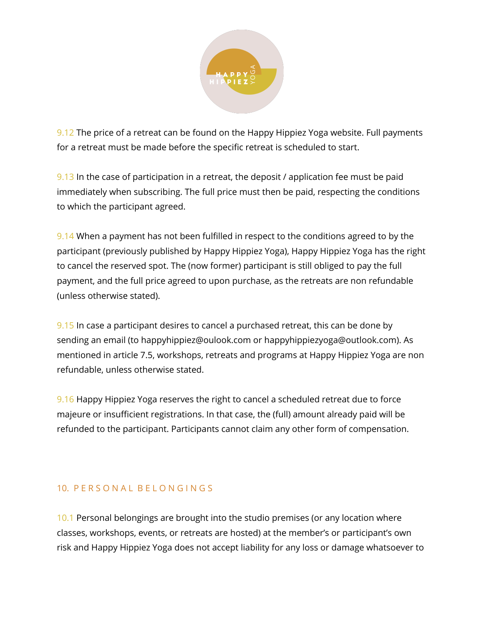

9.12 The price of a retreat can be found on the Happy Hippiez Yoga website. Full payments for a retreat must be made before the specific retreat is scheduled to start.

9.13 In the case of participation in a retreat, the deposit / application fee must be paid immediately when subscribing. The full price must then be paid, respecting the conditions to which the participant agreed.

9.14 When a payment has not been fulfilled in respect to the conditions agreed to by the participant (previously published by Happy Hippiez Yoga), Happy Hippiez Yoga has the right to cancel the reserved spot. The (now former) participant is still obliged to pay the full payment, and the full price agreed to upon purchase, as the retreats are non refundable (unless otherwise stated).

9.15 In case a participant desires to cancel a purchased retreat, this can be done by sending an email (to happyhippiez@oulook.com or happyhippiezyoga@outlook.com). As mentioned in article 7.5, workshops, retreats and programs at Happy Hippiez Yoga are non refundable, unless otherwise stated.

9.16 Happy Hippiez Yoga reserves the right to cancel a scheduled retreat due to force majeure or insufficient registrations. In that case, the (full) amount already paid will be refunded to the participant. Participants cannot claim any other form of compensation.

### 10. P E R S O N A L B E L O N G I N G S

10.1 Personal belongings are brought into the studio premises (or any location where classes, workshops, events, or retreats are hosted) at the member's or participant's own risk and Happy Hippiez Yoga does not accept liability for any loss or damage whatsoever to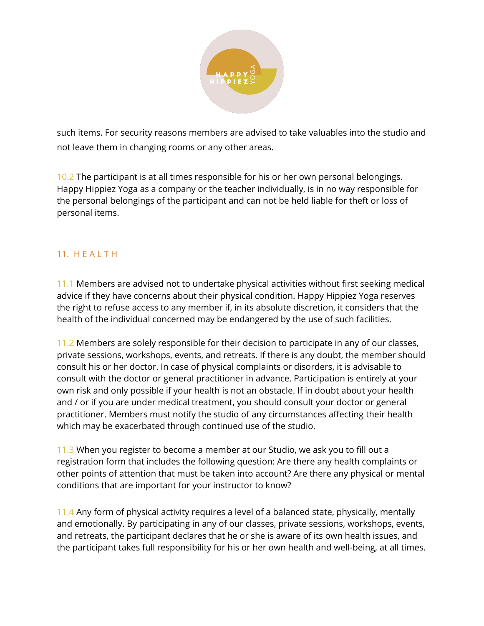

such items. For security reasons members are advised to take valuables into the studio and not leave them in changing rooms or any other areas.

10.2 The participant is at all times responsible for his or her own personal belongings. Happy Hippiez Yoga as a company or the teacher individually, is in no way responsible for the personal belongings of the participant and can not be held liable for theft or loss of personal items.

## 11. H E A L T H

11.1 Members are advised not to undertake physical activities without first seeking medical advice if they have concerns about their physical condition. Happy Hippiez Yoga reserves the right to refuse access to any member if, in its absolute discretion, it considers that the health of the individual concerned may be endangered by the use of such facilities.

11.2 Members are solely responsible for their decision to participate in any of our classes, private sessions, workshops, events, and retreats. If there is any doubt, the member should consult his or her doctor. In case of physical complaints or disorders, it is advisable to consult with the doctor or general practitioner in advance. Participation is entirely at your own risk and only possible if your health is not an obstacle. If in doubt about your health and / or if you are under medical treatment, you should consult your doctor or general practitioner. Members must notify the studio of any circumstances affecting their health which may be exacerbated through continued use of the studio.

11.3 When you register to become a member at our Studio, we ask you to fill out a registration form that includes the following question: Are there any health complaints or other points of attention that must be taken into account? Are there any physical or mental conditions that are important for your instructor to know?

11.4 Any form of physical activity requires a level of a balanced state, physically, mentally and emotionally. By participating in any of our classes, private sessions, workshops, events, and retreats, the participant declares that he or she is aware of its own health issues, and the participant takes full responsibility for his or her own health and well-being, at all times.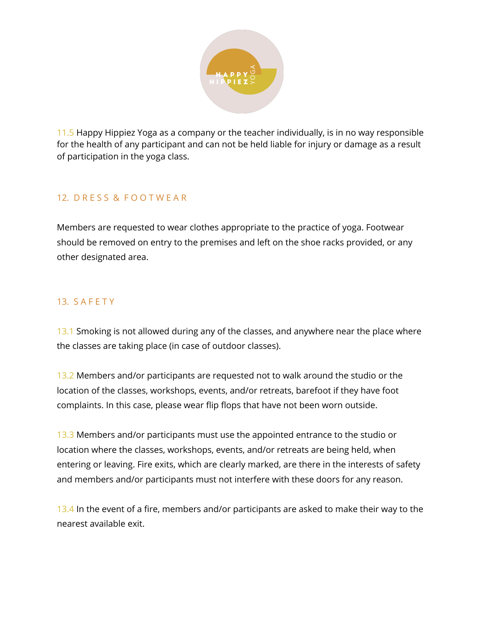

11.5 Happy Hippiez Yoga as a company or the teacher individually, is in no way responsible for the health of any participant and can not be held liable for injury or damage as a result of participation in the yoga class.

## 12. D R E S S & F O O T W E A R

Members are requested to wear clothes appropriate to the practice of yoga. Footwear should be removed on entry to the premises and left on the shoe racks provided, or any other designated area.

### 13. S A F E T Y

13.1 Smoking is not allowed during any of the classes, and anywhere near the place where the classes are taking place (in case of outdoor classes).

13.2 Members and/or participants are requested not to walk around the studio or the location of the classes, workshops, events, and/or retreats, barefoot if they have foot complaints. In this case, please wear flip flops that have not been worn outside.

13.3 Members and/or participants must use the appointed entrance to the studio or location where the classes, workshops, events, and/or retreats are being held, when entering or leaving. Fire exits, which are clearly marked, are there in the interests of safety and members and/or participants must not interfere with these doors for any reason.

13.4 In the event of a fire, members and/or participants are asked to make their way to the nearest available exit.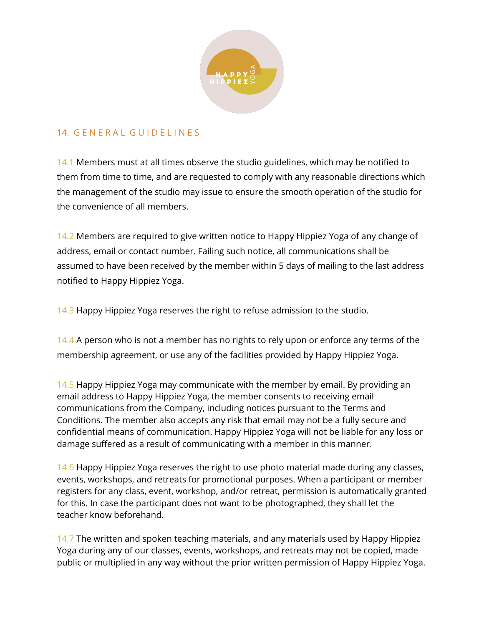

### 14. GENERAL GUIDELINES

14.1 Members must at all times observe the studio guidelines, which may be notified to them from time to time, and are requested to comply with any reasonable directions which the management of the studio may issue to ensure the smooth operation of the studio for the convenience of all members.

14.2 Members are required to give written notice to Happy Hippiez Yoga of any change of address, email or contact number. Failing such notice, all communications shall be assumed to have been received by the member within 5 days of mailing to the last address notified to Happy Hippiez Yoga.

14.3 Happy Hippiez Yoga reserves the right to refuse admission to the studio.

14.4 A person who is not a member has no rights to rely upon or enforce any terms of the membership agreement, or use any of the facilities provided by Happy Hippiez Yoga.

14.5 Happy Hippiez Yoga may communicate with the member by email. By providing an email address to Happy Hippiez Yoga, the member consents to receiving email communications from the Company, including notices pursuant to the Terms and Conditions. The member also accepts any risk that email may not be a fully secure and confidential means of communication. Happy Hippiez Yoga will not be liable for any loss or damage suffered as a result of communicating with a member in this manner.

14.6 Happy Hippiez Yoga reserves the right to use photo material made during any classes, events, workshops, and retreats for promotional purposes. When a participant or member registers for any class, event, workshop, and/or retreat, permission is automatically granted for this. In case the participant does not want to be photographed, they shall let the teacher know beforehand.

14.7 The written and spoken teaching materials, and any materials used by Happy Hippiez Yoga during any of our classes, events, workshops, and retreats may not be copied, made public or multiplied in any way without the prior written permission of Happy Hippiez Yoga.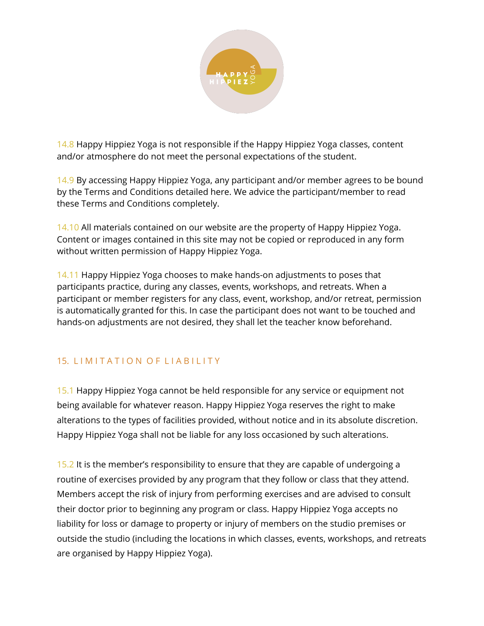

14.8 Happy Hippiez Yoga is not responsible if the Happy Hippiez Yoga classes, content and/or atmosphere do not meet the personal expectations of the student.

14.9 By accessing Happy Hippiez Yoga, any participant and/or member agrees to be bound by the Terms and Conditions detailed here. We advice the participant/member to read these Terms and Conditions completely.

14.10 All materials contained on our website are the property of Happy Hippiez Yoga. Content or images contained in this site may not be copied or reproduced in any form without written permission of Happy Hippiez Yoga.

14.11 Happy Hippiez Yoga chooses to make hands-on adjustments to poses that participants practice, during any classes, events, workshops, and retreats. When a participant or member registers for any class, event, workshop, and/or retreat, permission is automatically granted for this. In case the participant does not want to be touched and hands-on adjustments are not desired, they shall let the teacher know beforehand.

# 15. LIMITATION OF LIABILITY

15.1 Happy Hippiez Yoga cannot be held responsible for any service or equipment not being available for whatever reason. Happy Hippiez Yoga reserves the right to make alterations to the types of facilities provided, without notice and in its absolute discretion. Happy Hippiez Yoga shall not be liable for any loss occasioned by such alterations.

15.2 It is the member's responsibility to ensure that they are capable of undergoing a routine of exercises provided by any program that they follow or class that they attend. Members accept the risk of injury from performing exercises and are advised to consult their doctor prior to beginning any program or class. Happy Hippiez Yoga accepts no liability for loss or damage to property or injury of members on the studio premises or outside the studio (including the locations in which classes, events, workshops, and retreats are organised by Happy Hippiez Yoga).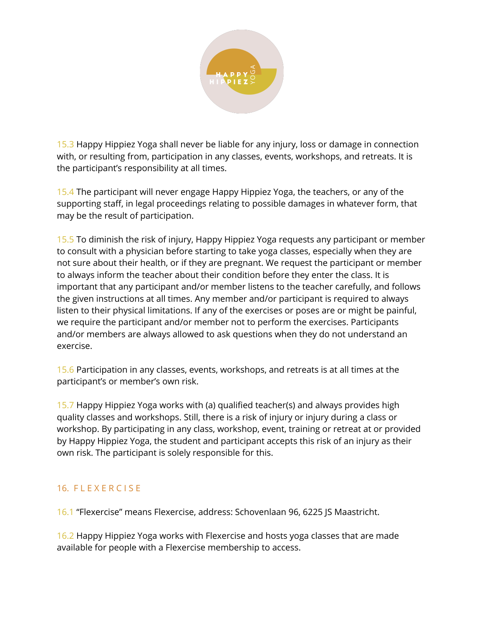

15.3 Happy Hippiez Yoga shall never be liable for any injury, loss or damage in connection with, or resulting from, participation in any classes, events, workshops, and retreats. It is the participant's responsibility at all times.

15.4 The participant will never engage Happy Hippiez Yoga, the teachers, or any of the supporting staff, in legal proceedings relating to possible damages in whatever form, that may be the result of participation.

15.5 To diminish the risk of injury, Happy Hippiez Yoga requests any participant or member to consult with a physician before starting to take yoga classes, especially when they are not sure about their health, or if they are pregnant. We request the participant or member to always inform the teacher about their condition before they enter the class. It is important that any participant and/or member listens to the teacher carefully, and follows the given instructions at all times. Any member and/or participant is required to always listen to their physical limitations. If any of the exercises or poses are or might be painful, we require the participant and/or member not to perform the exercises. Participants and/or members are always allowed to ask questions when they do not understand an exercise.

15.6 Participation in any classes, events, workshops, and retreats is at all times at the participant's or member's own risk.

15.7 Happy Hippiez Yoga works with (a) qualified teacher(s) and always provides high quality classes and workshops. Still, there is a risk of injury or injury during a class or workshop. By participating in any class, workshop, event, training or retreat at or provided by Happy Hippiez Yoga, the student and participant accepts this risk of an injury as their own risk. The participant is solely responsible for this.

### 16. FLEXERCISE

16.1 "Flexercise" means Flexercise, address: Schovenlaan 96, 6225 JS Maastricht.

16.2 Happy Hippiez Yoga works with Flexercise and hosts yoga classes that are made available for people with a Flexercise membership to access.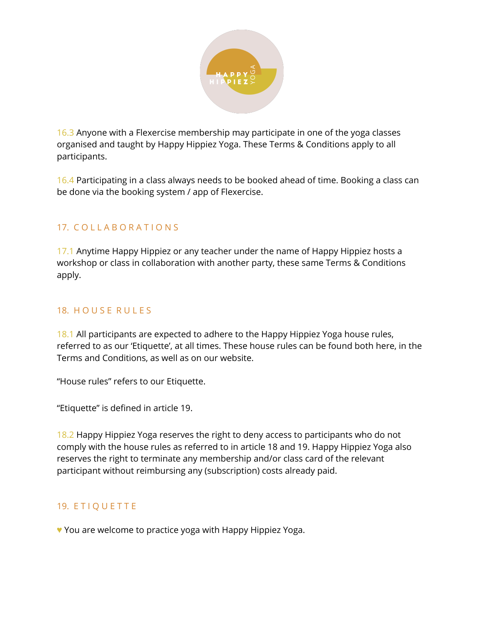

16.3 Anyone with a Flexercise membership may participate in one of the yoga classes organised and taught by Happy Hippiez Yoga. These Terms & Conditions apply to all participants.

16.4 Participating in a class always needs to be booked ahead of time. Booking a class can be done via the booking system / app of Flexercise.

## 17. C O L L A B O R A T I O N S

17.1 Anytime Happy Hippiez or any teacher under the name of Happy Hippiez hosts a workshop or class in collaboration with another party, these same Terms & Conditions apply.

### 18. HOUSE RULES

18.1 All participants are expected to adhere to the Happy Hippiez Yoga house rules, referred to as our 'Etiquette', at all times. These house rules can be found both here, in the Terms and Conditions, as well as on our website.

"House rules" refers to our Etiquette.

"Etiquette" is defined in article 19.

18.2 Happy Hippiez Yoga reserves the right to deny access to participants who do not comply with the house rules as referred to in article 18 and 19. Happy Hippiez Yoga also reserves the right to terminate any membership and/or class card of the relevant participant without reimbursing any (subscription) costs already paid.

### 19. ETIQUETTE

♥ You are welcome to practice yoga with Happy Hippiez Yoga.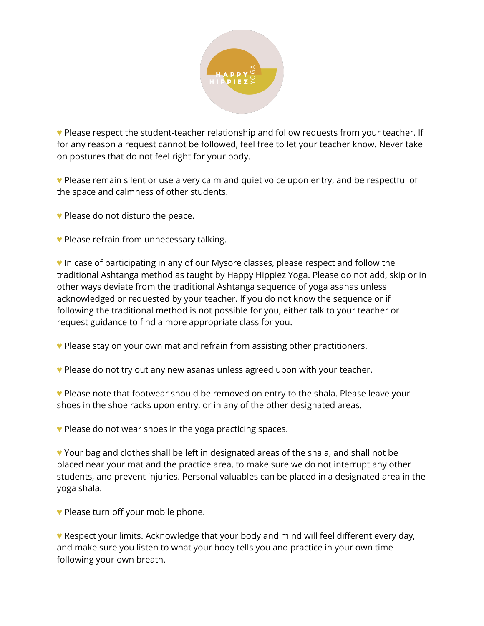

♥ Please respect the student-teacher relationship and follow requests from your teacher. If for any reason a request cannot be followed, feel free to let your teacher know. Never take on postures that do not feel right for your body.

♥ Please remain silent or use a very calm and quiet voice upon entry, and be respectful of the space and calmness of other students.

♥ Please do not disturb the peace.

♥ Please refrain from unnecessary talking.

♥ In case of participating in any of our Mysore classes, please respect and follow the traditional Ashtanga method as taught by Happy Hippiez Yoga. Please do not add, skip or in other ways deviate from the traditional Ashtanga sequence of yoga asanas unless acknowledged or requested by your teacher. If you do not know the sequence or if following the traditional method is not possible for you, either talk to your teacher or request guidance to find a more appropriate class for you.

♥ Please stay on your own mat and refrain from assisting other practitioners.

♥ Please do not try out any new asanas unless agreed upon with your teacher.

♥ Please note that footwear should be removed on entry to the shala. Please leave your shoes in the shoe racks upon entry, or in any of the other designated areas.

♥ Please do not wear shoes in the yoga practicing spaces.

♥ Your bag and clothes shall be left in designated areas of the shala, and shall not be placed near your mat and the practice area, to make sure we do not interrupt any other students, and prevent injuries. Personal valuables can be placed in a designated area in the yoga shala.

♥ Please turn off your mobile phone.

♥ Respect your limits. Acknowledge that your body and mind will feel different every day, and make sure you listen to what your body tells you and practice in your own time following your own breath.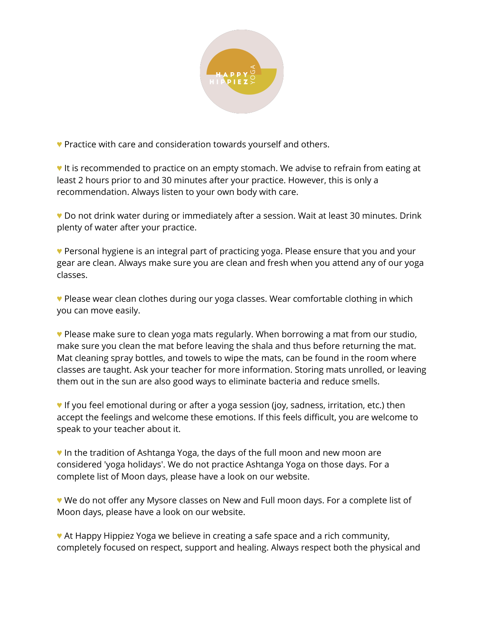

♥ Practice with care and consideration towards yourself and others.

♥ It is recommended to practice on an empty stomach. We advise to refrain from eating at least 2 hours prior to and 30 minutes after your practice. However, this is only a recommendation. Always listen to your own body with care.

♥ Do not drink water during or immediately after a session. Wait at least 30 minutes. Drink plenty of water after your practice.

♥ Personal hygiene is an integral part of practicing yoga. Please ensure that you and your gear are clean. Always make sure you are clean and fresh when you attend any of our yoga classes.

♥ Please wear clean clothes during our yoga classes. Wear comfortable clothing in which you can move easily.

♥ Please make sure to clean yoga mats regularly. When borrowing a mat from our studio, make sure you clean the mat before leaving the shala and thus before returning the mat. Mat cleaning spray bottles, and towels to wipe the mats, can be found in the room where classes are taught. Ask your teacher for more information. Storing mats unrolled, or leaving them out in the sun are also good ways to eliminate bacteria and reduce smells.

♥ If you feel emotional during or after a yoga session (joy, sadness, irritation, etc.) then accept the feelings and welcome these emotions. If this feels difficult, you are welcome to speak to your teacher about it.

♥ In the tradition of Ashtanga Yoga, the days of the full moon and new moon are considered 'yoga holidays'. We do not practice Ashtanga Yoga on those days. For a complete list of Moon days, please have a look on our website.

♥ We do not offer any Mysore classes on New and Full moon days. For a complete list of Moon days, please have a look on our website.

♥ At Happy Hippiez Yoga we believe in creating a safe space and a rich community, completely focused on respect, support and healing. Always respect both the physical and